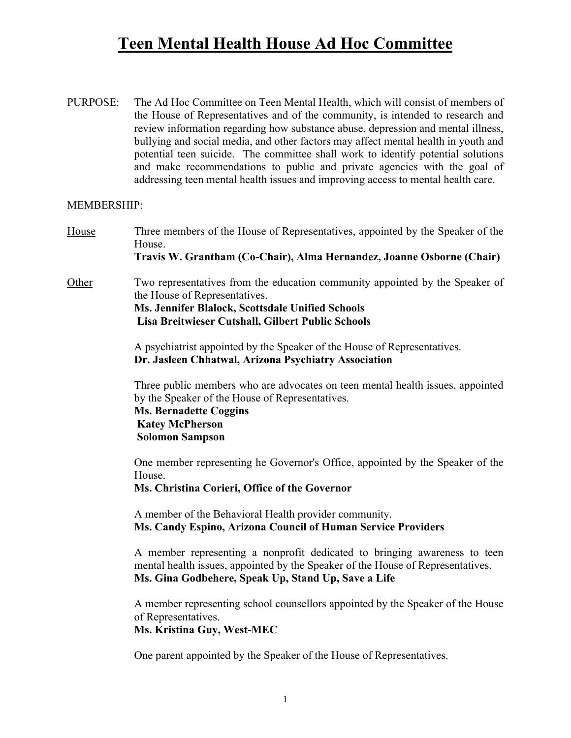## **Teen Mental Health House Ad Hoc Committee**

PURPOSE: The Ad Hoc Committee on Teen Mental Health, which will consist of members of the House of Representatives and of the community, is intended to research and review information regarding how substance abuse, depression and mental illness, bullying and social media, and other factors may affect mental health in youth and potential teen suicide. The committee shall work to identify potential solutions and make recommendations to public and private agencies with the goal of addressing teen mental health issues and improving access to mental health care.

## MEMBERSHIP:

House Three members of the House of Representatives, appointed by the Speaker of the House. **Travis W. Grantham (Co-Chair), Alma Hernandez, Joanne Osborne (Chair)** Other Two representatives from the education community appointed by the Speaker of the House of Representatives. **Ms. Jennifer Blalock, Scottsdale Unified Schools Lisa Breitwieser Cutshall, Gilbert Public Schools**

> A psychiatrist appointed by the Speaker of the House of Representatives. **Dr. Jasleen Chhatwal, Arizona Psychiatry Association**

 Three public members who are advocates on teen mental health issues, appointed by the Speaker of the House of Representatives.

**Ms. Bernadette Coggins Katey McPherson Solomon Sampson**

 One member representing he Governor's Office, appointed by the Speaker of the House.

**Ms. Christina Corieri, Office of the Governor**

 A member of the Behavioral Health provider community. **Ms. Candy Espino, Arizona Council of Human Service Providers**

 A member representing a nonprofit dedicated to bringing awareness to teen mental health issues, appointed by the Speaker of the House of Representatives. **Ms. Gina Godbehere, Speak Up, Stand Up, Save a Life**

 A member representing school counsellors appointed by the Speaker of the House of Representatives.

**Ms. Kristina Guy, West-MEC**

One parent appointed by the Speaker of the House of Representatives.